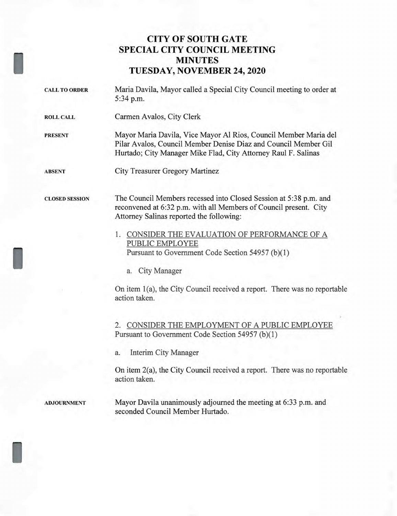## **CITY OF SOUTH GATE SPECIAL CITY COUNCIL MEETING MINUTES TUESDAY, NOVEMBER 24, 2020**

CALL TO ORDER Maria Davila, Mayor called a Special City Council meeting to order at 5:34 p.m.

ROLL CALL Carmen Avalos, City Clerk

PRESENT Mayor Maria Davila, Vice Mayor Al Rios, Council Member Maria del Pilar Avalos, Council Member Denise Diaz and Council Member Gil Hurtado; City Manager Mike Flad, City Attorney Raul F. Salinas

ABSENT City Treasurer Gregory Martinez

I

I

I

CLOSED SESSION The Council Members recessed into Closed Session at 5:38 p.m. and reconvened at 6:32 p.m. with all Members of Council present. City Attorney Salinas reported the following:

- 1. CONSIDER THE EVALUATION OF PERFORMANCE OF A PUBLIC EMPLOYEE Pursuant to Government Code Section 54957 (b)(1)
	- a. City Manager

On item 1(a), the City Council received a report. There was no reportable action taken.

2. CONSIDER THE EMPLOYMENT OF A PUBLIC EMPLOYEE Pursuant to Government Code Section 54957 (b)(1)

a. Interim City Manager

On item 2(a), the City Council received a report. There was no reportable action taken.

ADJOURNMENT Mayor Davila unanimously adjourned the meeting at 6:33 p.m. and seconded Council Member Hurtado.